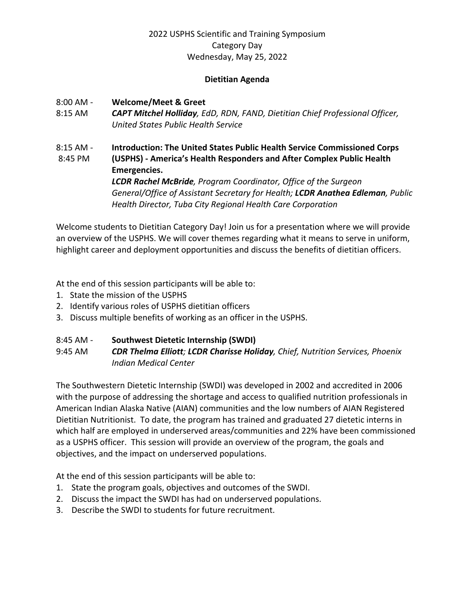#### **Dietitian Agenda**

#### 8:00 AM - **Welcome/Meet & Greet**

- 8:15 AM *CAPT Mitchel Holliday, EdD, RDN, FAND, Dietitian Chief Professional Officer, United States Public Health Service*
- 8:15 AM **Introduction: The United States Public Health Service Commissioned Corps**  8:45 PM **(USPHS) - America's Health Responders and After Complex Public Health Emergencies.** *LCDR Rachel McBride, Program Coordinator, Office of the Surgeon General/Office of Assistant Secretary for Health; LCDR Anathea Edleman, Public Health Director, Tuba City Regional Health Care Corporation*

Welcome students to Dietitian Category Day! Join us for a presentation where we will provide an overview of the USPHS. We will cover themes regarding what it means to serve in uniform, highlight career and deployment opportunities and discuss the benefits of dietitian officers.

At the end of this session participants will be able to:

- 1. State the mission of the USPHS
- 2. Identify various roles of USPHS dietitian officers
- 3. Discuss multiple benefits of working as an officer in the USPHS.

### 8:45 AM - **Southwest Dietetic Internship (SWDI)**

9:45 AM *CDR Thelma Elliott; LCDR Charisse Holiday, Chief, Nutrition Services, Phoenix Indian Medical Center*

The Southwestern Dietetic Internship (SWDI) was developed in 2002 and accredited in 2006 with the purpose of addressing the shortage and access to qualified nutrition professionals in American Indian Alaska Native (AIAN) communities and the low numbers of AIAN Registered Dietitian Nutritionist. To date, the program has trained and graduated 27 dietetic interns in which half are employed in underserved areas/communities and 22% have been commissioned as a USPHS officer. This session will provide an overview of the program, the goals and objectives, and the impact on underserved populations.

At the end of this session participants will be able to:

- 1. State the program goals, objectives and outcomes of the SWDI.
- 2. Discuss the impact the SWDI has had on underserved populations.
- 3. Describe the SWDI to students for future recruitment.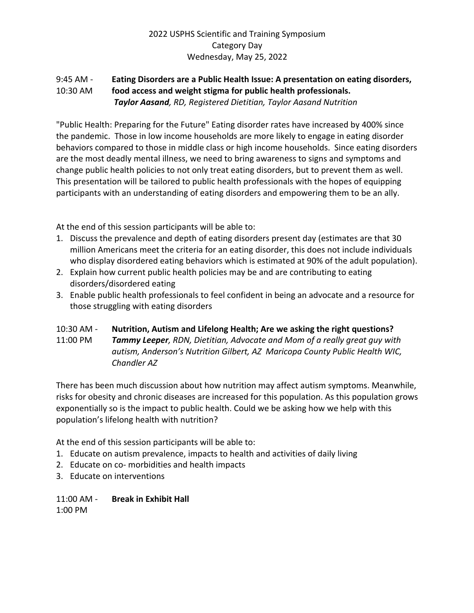## 9:45 AM - **Eating Disorders are a Public Health Issue: A presentation on eating disorders,**  10:30 AM **food access and weight stigma for public health professionals.** *Taylor Aasand, RD, Registered Dietitian, Taylor Aasand Nutrition*

"Public Health: Preparing for the Future" Eating disorder rates have increased by 400% since the pandemic. Those in low income households are more likely to engage in eating disorder behaviors compared to those in middle class or high income households. Since eating disorders are the most deadly mental illness, we need to bring awareness to signs and symptoms and change public health policies to not only treat eating disorders, but to prevent them as well. This presentation will be tailored to public health professionals with the hopes of equipping participants with an understanding of eating disorders and empowering them to be an ally.

At the end of this session participants will be able to:

- 1. Discuss the prevalence and depth of eating disorders present day (estimates are that 30 million Americans meet the criteria for an eating disorder, this does not include individuals who display disordered eating behaviors which is estimated at 90% of the adult population).
- 2. Explain how current public health policies may be and are contributing to eating disorders/disordered eating
- 3. Enable public health professionals to feel confident in being an advocate and a resource for those struggling with eating disorders

## 10:30 AM - **Nutrition, Autism and Lifelong Health; Are we asking the right questions?** 11:00 PM *Tammy Leeper, RDN, Dietitian, Advocate and Mom of a really great guy with autism, Anderson's Nutrition Gilbert, AZ Maricopa County Public Health WIC, Chandler AZ*

There has been much discussion about how nutrition may affect autism symptoms. Meanwhile, risks for obesity and chronic diseases are increased for this population. As this population grows exponentially so is the impact to public health. Could we be asking how we help with this population's lifelong health with nutrition?

At the end of this session participants will be able to:

- 1. Educate on autism prevalence, impacts to health and activities of daily living
- 2. Educate on co- morbidities and health impacts
- 3. Educate on interventions

11:00 AM - **Break in Exhibit Hall** 1:00 PM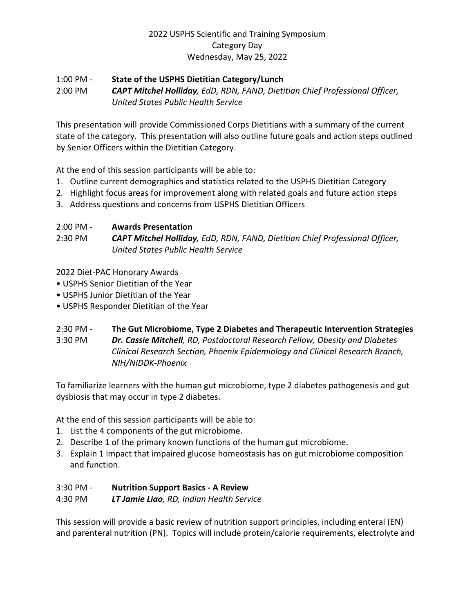### 1:00 PM - **State of the USPHS Dietitian Category/Lunch** 2:00 PM *CAPT Mitchel Holliday, EdD, RDN, FAND, Dietitian Chief Professional Officer, United States Public Health Service*

This presentation will provide Commissioned Corps Dietitians with a summary of the current state of the category. This presentation will also outline future goals and action steps outlined by Senior Officers within the Dietitian Category.

At the end of this session participants will be able to:

- 1. Outline current demographics and statistics related to the USPHS Dietitian Category
- 2. Highlight focus areas for improvement along with related goals and future action steps
- 3. Address questions and concerns from USPHS Dietitian Officers

# 2:00 PM - **Awards Presentation**

2:30 PM *CAPT Mitchel Holliday, EdD, RDN, FAND, Dietitian Chief Professional Officer, United States Public Health Service* 

2022 Diet-PAC Honorary Awards

- USPHS Senior Dietitian of the Year
- USPHS Junior Dietitian of the Year
- USPHS Responder Dietitian of the Year

## 2:30 PM - **The Gut Microbiome, Type 2 Diabetes and Therapeutic Intervention Strategies**

3:30 PM *Dr. Cassie Mitchell, RD, Postdoctoral Research Fellow, Obesity and Diabetes Clinical Research Section, Phoenix Epidemiology and Clinical Research Branch, NIH/NIDDK-Phoenix* 

To familiarize learners with the human gut microbiome, type 2 diabetes pathogenesis and gut dysbiosis that may occur in type 2 diabetes.

At the end of this session participants will be able to:

- 1. List the 4 components of the gut microbiome.
- 2. Describe 1 of the primary known functions of the human gut microbiome.
- 3. Explain 1 impact that impaired glucose homeostasis has on gut microbiome composition and function.

## 3:30 PM - **Nutrition Support Basics - A Review**

## 4:30 PM *LT Jamie Liao, RD, Indian Health Service*

This session will provide a basic review of nutrition support principles, including enteral (EN) and parenteral nutrition (PN). Topics will include protein/calorie requirements, electrolyte and